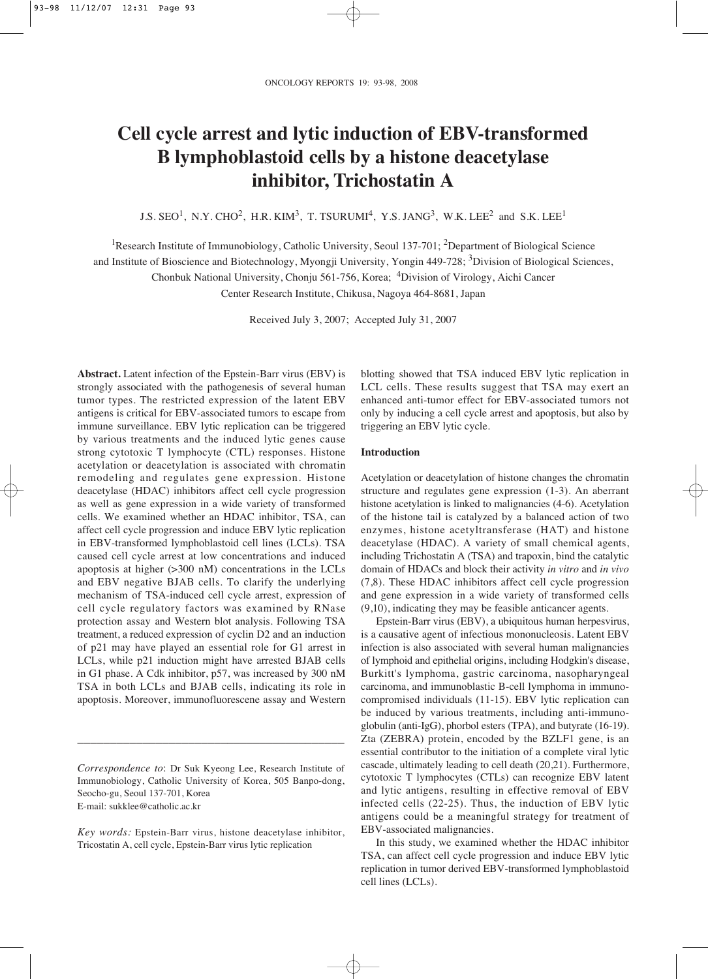# **Cell cycle arrest and lytic induction of EBV-transformed B lymphoblastoid cells by a histone deacetylase inhibitor, Trichostatin A**

J.S.  $\text{SED}^1$ , N.Y.  $\text{CHO}^2$ , H.R.  $\text{KIM}^3$ , T. TSURUMI<sup>4</sup>, Y.S. JANG<sup>3</sup>, W.K. LEE<sup>2</sup> and S.K. LEE<sup>1</sup>

<sup>1</sup>Research Institute of Immunobiology, Catholic University, Seoul 137-701; <sup>2</sup>Department of Biological Science

and Institute of Bioscience and Biotechnology, Myongji University, Yongin 449-728; <sup>3</sup>Division of Biological Sciences,

Chonbuk National University, Chonju 561-756, Korea; 4Division of Virology, Aichi Cancer

Center Research Institute, Chikusa, Nagoya 464-8681, Japan

Received July 3, 2007; Accepted July 31, 2007

**Abstract.** Latent infection of the Epstein-Barr virus (EBV) is strongly associated with the pathogenesis of several human tumor types. The restricted expression of the latent EBV antigens is critical for EBV-associated tumors to escape from immune surveillance. EBV lytic replication can be triggered by various treatments and the induced lytic genes cause strong cytotoxic T lymphocyte (CTL) responses. Histone acetylation or deacetylation is associated with chromatin remodeling and regulates gene expression. Histone deacetylase (HDAC) inhibitors affect cell cycle progression as well as gene expression in a wide variety of transformed cells. We examined whether an HDAC inhibitor, TSA, can affect cell cycle progression and induce EBV lytic replication in EBV-transformed lymphoblastoid cell lines (LCLs). TSA caused cell cycle arrest at low concentrations and induced apoptosis at higher (>300 nM) concentrations in the LCLs and EBV negative BJAB cells. To clarify the underlying mechanism of TSA-induced cell cycle arrest, expression of cell cycle regulatory factors was examined by RNase protection assay and Western blot analysis. Following TSA treatment, a reduced expression of cyclin D2 and an induction of p21 may have played an essential role for G1 arrest in LCLs, while p21 induction might have arrested BJAB cells in G1 phase. A Cdk inhibitor, p57, was increased by 300 nM TSA in both LCLs and BJAB cells, indicating its role in apoptosis. Moreover, immunofluorescene assay and Western

*Correspondence to*: Dr Suk Kyeong Lee, Research Institute of Immunobiology, Catholic University of Korea, 505 Banpo-dong, Seocho-gu, Seoul 137-701, Korea E-mail: sukklee@catholic.ac.kr

\_\_\_\_\_\_\_\_\_\_\_\_\_\_\_\_\_\_\_\_\_\_\_\_\_\_\_\_\_\_\_\_\_\_\_\_\_\_\_\_\_

*Key words:* Epstein-Barr virus, histone deacetylase inhibitor, Tricostatin A, cell cycle, Epstein-Barr virus lytic replication

blotting showed that TSA induced EBV lytic replication in LCL cells. These results suggest that TSA may exert an enhanced anti-tumor effect for EBV-associated tumors not only by inducing a cell cycle arrest and apoptosis, but also by triggering an EBV lytic cycle.

## **Introduction**

Acetylation or deacetylation of histone changes the chromatin structure and regulates gene expression (1-3). An aberrant histone acetylation is linked to malignancies (4-6). Acetylation of the histone tail is catalyzed by a balanced action of two enzymes, histone acetyltransferase (HAT) and histone deacetylase (HDAC). A variety of small chemical agents, including Trichostatin A (TSA) and trapoxin, bind the catalytic domain of HDACs and block their activity *in vitro* and *in vivo* (7,8). These HDAC inhibitors affect cell cycle progression and gene expression in a wide variety of transformed cells (9,10), indicating they may be feasible anticancer agents.

Epstein-Barr virus (EBV), a ubiquitous human herpesvirus, is a causative agent of infectious mononucleosis. Latent EBV infection is also associated with several human malignancies of lymphoid and epithelial origins, including Hodgkin's disease, Burkitt's lymphoma, gastric carcinoma, nasopharyngeal carcinoma, and immunoblastic B-cell lymphoma in immunocompromised individuals (11-15). EBV lytic replication can be induced by various treatments, including anti-immunoglobulin (anti-IgG), phorbol esters (TPA), and butyrate (16-19). Zta (ZEBRA) protein, encoded by the BZLF1 gene, is an essential contributor to the initiation of a complete viral lytic cascade, ultimately leading to cell death (20,21). Furthermore, cytotoxic T lymphocytes (CTLs) can recognize EBV latent and lytic antigens, resulting in effective removal of EBV infected cells (22-25). Thus, the induction of EBV lytic antigens could be a meaningful strategy for treatment of EBV-associated malignancies.

In this study, we examined whether the HDAC inhibitor TSA, can affect cell cycle progression and induce EBV lytic replication in tumor derived EBV-transformed lymphoblastoid cell lines (LCLs).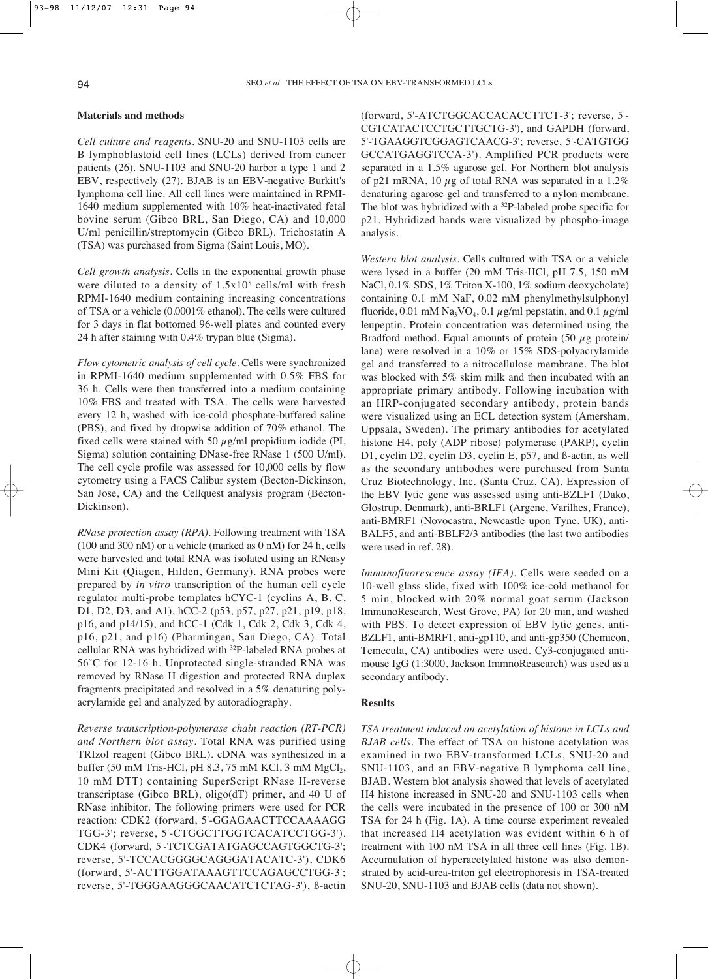#### **Materials and methods**

*Cell culture and reagents*. SNU-20 and SNU-1103 cells are B lymphoblastoid cell lines (LCLs) derived from cancer patients (26). SNU-1103 and SNU-20 harbor a type 1 and 2 EBV, respectively (27). BJAB is an EBV-negative Burkitt's lymphoma cell line. All cell lines were maintained in RPMI-1640 medium supplemented with 10% heat-inactivated fetal bovine serum (Gibco BRL, San Diego, CA) and 10,000 U/ml penicillin/streptomycin (Gibco BRL). Trichostatin A (TSA) was purchased from Sigma (Saint Louis, MO).

*Cell growth analysis*. Cells in the exponential growth phase were diluted to a density of  $1.5x10<sup>5</sup>$  cells/ml with fresh RPMI-1640 medium containing increasing concentrations of TSA or a vehicle (0.0001% ethanol). The cells were cultured for 3 days in flat bottomed 96-well plates and counted every 24 h after staining with 0.4% trypan blue (Sigma).

*Flow cytometric analysis of cell cycle*. Cells were synchronized in RPMI-1640 medium supplemented with 0.5% FBS for 36 h. Cells were then transferred into a medium containing 10% FBS and treated with TSA. The cells were harvested every 12 h, washed with ice-cold phosphate-buffered saline (PBS), and fixed by dropwise addition of 70% ethanol. The fixed cells were stained with 50  $\mu$ g/ml propidium iodide (PI, Sigma) solution containing DNase-free RNase 1 (500 U/ml). The cell cycle profile was assessed for 10,000 cells by flow cytometry using a FACS Calibur system (Becton-Dickinson, San Jose, CA) and the Cellquest analysis program (Becton-Dickinson).

*RNase protection assay (RPA)*. Following treatment with TSA (100 and 300 nM) or a vehicle (marked as 0 nM) for 24 h, cells were harvested and total RNA was isolated using an RNeasy Mini Kit (Qiagen, Hilden, Germany). RNA probes were prepared by *in vitro* transcription of the human cell cycle regulator multi-probe templates hCYC-1 (cyclins A, B, C, D1, D2, D3, and A1), hCC-2 (p53, p57, p27, p21, p19, p18, p16, and p14/15), and hCC-1 (Cdk 1, Cdk 2, Cdk 3, Cdk 4, p16, p21, and p16) (Pharmingen, San Diego, CA). Total cellular RNA was hybridized with 32P-labeled RNA probes at 56˚C for 12-16 h. Unprotected single-stranded RNA was removed by RNase H digestion and protected RNA duplex fragments precipitated and resolved in a 5% denaturing polyacrylamide gel and analyzed by autoradiography.

*Reverse transcription-polymerase chain reaction (RT-PCR) and Northern blot assay*. Total RNA was purified using TRIzol reagent (Gibco BRL). cDNA was synthesized in a buffer (50 mM Tris-HCl, pH  $8.3$ , 75 mM KCl, 3 mM MgCl<sub>2</sub>, 10 mM DTT) containing SuperScript RNase H-reverse transcriptase (Gibco BRL), oligo(dT) primer, and 40 U of RNase inhibitor. The following primers were used for PCR reaction: CDK2 (forward, 5'-GGAGAACTTCCAAAAGG TGG-3'; reverse, 5'-CTGGCTTGGTCACATCCTGG-3'). CDK4 (forward, 5'-TCTCGATATGAGCCAGTGGCTG-3'; reverse, 5'-TCCACGGGGCAGGGATACATC-3'), CDK6 (forward, 5'-ACTTGGATAAAGTTCCAGAGCCTGG-3'; reverse, 5'-TGGGAAGGGCAACATCTCTAG-3'), ß-actin (forward, 5'-ATCTGGCACCACACCTTCT-3'; reverse, 5'- CGTCATACTCCTGCTTGCTG-3'), and GAPDH (forward, 5'-TGAAGGTCGGAGTCAACG-3'; reverse, 5'-CATGTGG GCCATGAGGTCCA-3'). Amplified PCR products were separated in a 1.5% agarose gel. For Northern blot analysis of p21 mRNA, 10  $\mu$ g of total RNA was separated in a 1.2% denaturing agarose gel and transferred to a nylon membrane. The blot was hybridized with a <sup>32</sup>P-labeled probe specific for p21. Hybridized bands were visualized by phospho-image analysis.

*Western blot analysis*. Cells cultured with TSA or a vehicle were lysed in a buffer (20 mM Tris-HCl, pH 7.5, 150 mM NaCl, 0.1% SDS, 1% Triton X-100, 1% sodium deoxycholate) containing 0.1 mM NaF, 0.02 mM phenylmethylsulphonyl fluoride, 0.01 mM Na<sub>3</sub>VO<sub>4</sub>, 0.1  $\mu$ g/ml pepstatin, and 0.1  $\mu$ g/ml leupeptin. Protein concentration was determined using the Bradford method. Equal amounts of protein (50  $\mu$ g protein/ lane) were resolved in a 10% or 15% SDS-polyacrylamide gel and transferred to a nitrocellulose membrane. The blot was blocked with 5% skim milk and then incubated with an appropriate primary antibody. Following incubation with an HRP-conjugated secondary antibody, protein bands were visualized using an ECL detection system (Amersham, Uppsala, Sweden). The primary antibodies for acetylated histone H4, poly (ADP ribose) polymerase (PARP), cyclin D1, cyclin D2, cyclin D3, cyclin E, p57, and ß-actin, as well as the secondary antibodies were purchased from Santa Cruz Biotechnology, Inc. (Santa Cruz, CA). Expression of the EBV lytic gene was assessed using anti-BZLF1 (Dako, Glostrup, Denmark), anti-BRLF1 (Argene, Varilhes, France), anti-BMRF1 (Novocastra, Newcastle upon Tyne, UK), anti-BALF5, and anti-BBLF2/3 antibodies (the last two antibodies were used in ref. 28).

*Immunofluorescence assay (IFA)*. Cells were seeded on a 10-well glass slide, fixed with 100% ice-cold methanol for 5 min, blocked with 20% normal goat serum (Jackson ImmunoResearch, West Grove, PA) for 20 min, and washed with PBS. To detect expression of EBV lytic genes, anti-BZLF1, anti-BMRF1, anti-gp110, and anti-gp350 (Chemicon, Temecula, CA) antibodies were used. Cy3-conjugated antimouse IgG (1:3000, Jackson ImmnoReasearch) was used as a secondary antibody.

## **Results**

*TSA treatment induced an acetylation of histone in LCLs and BJAB cells.* The effect of TSA on histone acetylation was examined in two EBV-transformed LCLs, SNU-20 and SNU-1103, and an EBV-negative B lymphoma cell line, BJAB. Western blot analysis showed that levels of acetylated H4 histone increased in SNU-20 and SNU-1103 cells when the cells were incubated in the presence of 100 or 300 nM TSA for 24 h (Fig. 1A). A time course experiment revealed that increased H4 acetylation was evident within 6 h of treatment with 100 nM TSA in all three cell lines (Fig. 1B). Accumulation of hyperacetylated histone was also demonstrated by acid-urea-triton gel electrophoresis in TSA-treated SNU-20, SNU-1103 and BJAB cells (data not shown).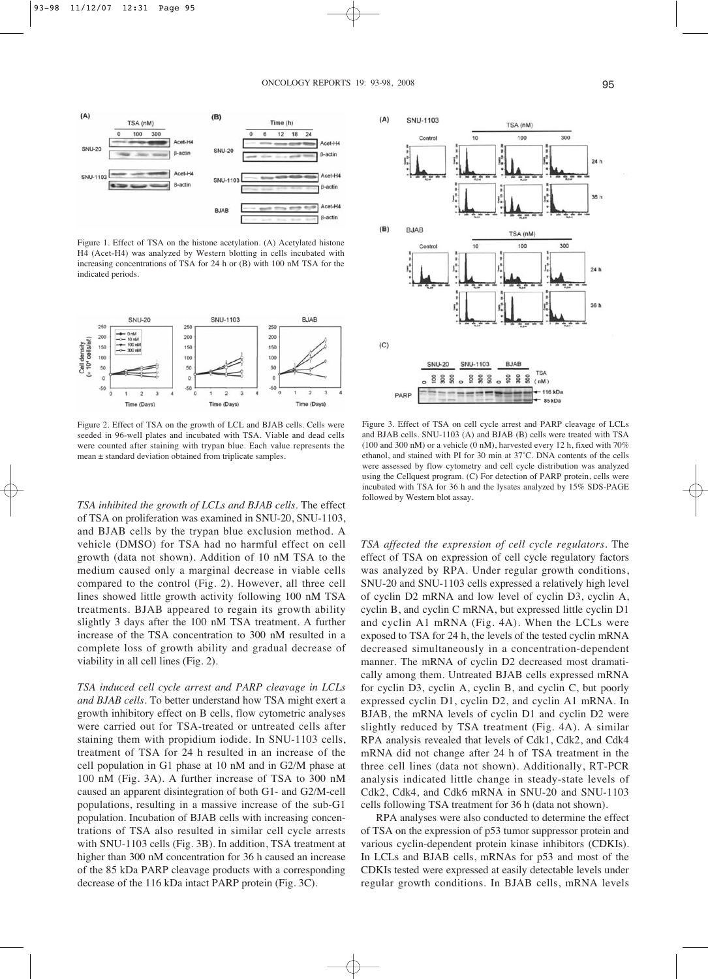

Figure 1. Effect of TSA on the histone acetylation. (A) Acetylated histone H4 (Acet-H4) was analyzed by Western blotting in cells incubated with increasing concentrations of TSA for 24 h or (B) with 100 nM TSA for the indicated periods.



Figure 2. Effect of TSA on the growth of LCL and BJAB cells. Cells were seeded in 96-well plates and incubated with TSA. Viable and dead cells were counted after staining with trypan blue. Each value represents the mean ± standard deviation obtained from triplicate samples.

*TSA inhibited the growth of LCLs and BJAB cells*. The effect of TSA on proliferation was examined in SNU-20, SNU-1103, and BJAB cells by the trypan blue exclusion method. A vehicle (DMSO) for TSA had no harmful effect on cell growth (data not shown). Addition of 10 nM TSA to the medium caused only a marginal decrease in viable cells compared to the control (Fig. 2). However, all three cell lines showed little growth activity following 100 nM TSA treatments. BJAB appeared to regain its growth ability slightly 3 days after the 100 nM TSA treatment. A further increase of the TSA concentration to 300 nM resulted in a complete loss of growth ability and gradual decrease of viability in all cell lines (Fig. 2).

*TSA induced cell cycle arrest and PARP cleavage in LCLs and BJAB cells*. To better understand how TSA might exert a growth inhibitory effect on B cells, flow cytometric analyses were carried out for TSA-treated or untreated cells after staining them with propidium iodide. In SNU-1103 cells, treatment of TSA for 24 h resulted in an increase of the cell population in G1 phase at 10 nM and in G2/M phase at 100 nM (Fig. 3A). A further increase of TSA to 300 nM caused an apparent disintegration of both G1- and G2/M-cell populations, resulting in a massive increase of the sub-G1 population. Incubation of BJAB cells with increasing concentrations of TSA also resulted in similar cell cycle arrests with SNU-1103 cells (Fig. 3B). In addition, TSA treatment at higher than 300 nM concentration for 36 h caused an increase of the 85 kDa PARP cleavage products with a corresponding decrease of the 116 kDa intact PARP protein (Fig. 3C).



Figure 3. Effect of TSA on cell cycle arrest and PARP cleavage of LCLs and BJAB cells. SNU-1103 (A) and BJAB (B) cells were treated with TSA (100 and 300 nM) or a vehicle (0 nM), harvested every 12 h, fixed with 70% ethanol, and stained with PI for 30 min at 37˚C. DNA contents of the cells were assessed by flow cytometry and cell cycle distribution was analyzed using the Cellquest program. (C) For detection of PARP protein, cells were incubated with TSA for 36 h and the lysates analyzed by 15% SDS-PAGE followed by Western blot assay.

*TSA affected the expression of cell cycle regulators*. The effect of TSA on expression of cell cycle regulatory factors was analyzed by RPA. Under regular growth conditions, SNU-20 and SNU-1103 cells expressed a relatively high level of cyclin D2 mRNA and low level of cyclin D3, cyclin A, cyclin B, and cyclin C mRNA, but expressed little cyclin D1 and cyclin A1 mRNA (Fig. 4A). When the LCLs were exposed to TSA for 24 h, the levels of the tested cyclin mRNA decreased simultaneously in a concentration-dependent manner. The mRNA of cyclin D2 decreased most dramatically among them. Untreated BJAB cells expressed mRNA for cyclin D3, cyclin A, cyclin B, and cyclin C, but poorly expressed cyclin D1, cyclin D2, and cyclin A1 mRNA. In BJAB, the mRNA levels of cyclin D1 and cyclin D2 were slightly reduced by TSA treatment (Fig. 4A). A similar RPA analysis revealed that levels of Cdk1, Cdk2, and Cdk4 mRNA did not change after 24 h of TSA treatment in the three cell lines (data not shown). Additionally, RT-PCR analysis indicated little change in steady-state levels of Cdk2, Cdk4, and Cdk6 mRNA in SNU-20 and SNU-1103 cells following TSA treatment for 36 h (data not shown).

RPA analyses were also conducted to determine the effect of TSA on the expression of p53 tumor suppressor protein and various cyclin-dependent protein kinase inhibitors (CDKIs). In LCLs and BJAB cells, mRNAs for p53 and most of the CDKIs tested were expressed at easily detectable levels under regular growth conditions. In BJAB cells, mRNA levels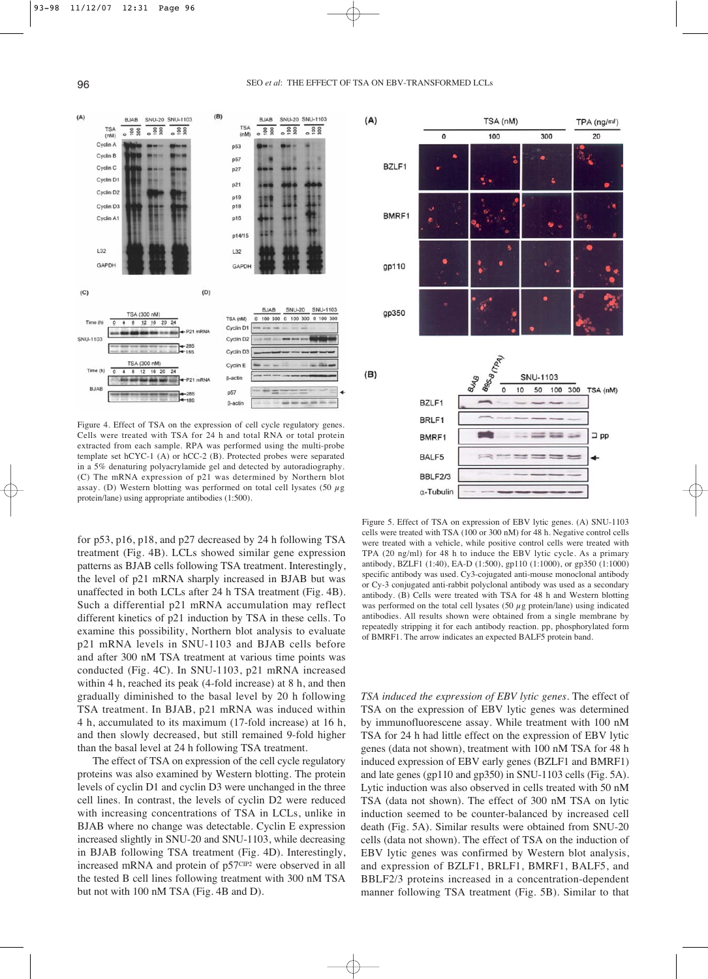

Figure 4. Effect of TSA on the expression of cell cycle regulatory genes. Cells were treated with TSA for 24 h and total RNA or total protein extracted from each sample. RPA was performed using the multi-probe template set hCYC-1 (A) or hCC-2 (B). Protected probes were separated in a 5% denaturing polyacrylamide gel and detected by autoradiography. (C) The mRNA expression of p21 was determined by Northern blot assay. (D) Western blotting was performed on total cell lysates (50  $\mu$ g protein/lane) using appropriate antibodies (1:500).

for p53, p16, p18, and p27 decreased by 24 h following TSA treatment (Fig. 4B). LCLs showed similar gene expression patterns as BJAB cells following TSA treatment. Interestingly, the level of p21 mRNA sharply increased in BJAB but was unaffected in both LCLs after 24 h TSA treatment (Fig. 4B). Such a differential p21 mRNA accumulation may reflect different kinetics of p21 induction by TSA in these cells. To examine this possibility, Northern blot analysis to evaluate p21 mRNA levels in SNU-1103 and BJAB cells before and after 300 nM TSA treatment at various time points was conducted (Fig. 4C). In SNU-1103, p21 mRNA increased within 4 h, reached its peak (4-fold increase) at 8 h, and then gradually diminished to the basal level by 20 h following TSA treatment. In BJAB, p21 mRNA was induced within 4 h, accumulated to its maximum (17-fold increase) at 16 h, and then slowly decreased, but still remained 9-fold higher than the basal level at 24 h following TSA treatment.

The effect of TSA on expression of the cell cycle regulatory proteins was also examined by Western blotting. The protein levels of cyclin D1 and cyclin D3 were unchanged in the three cell lines. In contrast, the levels of cyclin D2 were reduced with increasing concentrations of TSA in LCLs, unlike in BJAB where no change was detectable. Cyclin E expression increased slightly in SNU-20 and SNU-1103, while decreasing in BJAB following TSA treatment (Fig. 4D). Interestingly, increased mRNA and protein of p57CIP2 were observed in all the tested B cell lines following treatment with 300 nM TSA but not with 100 nM TSA (Fig. 4B and D).



Figure 5. Effect of TSA on expression of EBV lytic genes. (A) SNU-1103 cells were treated with TSA (100 or 300 nM) for 48 h. Negative control cells were treated with a vehicle, while positive control cells were treated with TPA (20 ng/ml) for 48 h to induce the EBV lytic cycle. As a primary antibody, BZLF1 (1:40), EA-D (1:500), gp110 (1:1000), or gp350 (1:1000) specific antibody was used. Cy3-cojugated anti-mouse monoclonal antibody or Cy-3 conjugated anti-rabbit polyclonal antibody was used as a secondary antibody. (B) Cells were treated with TSA for 48 h and Western blotting was performed on the total cell lysates (50  $\mu$ g protein/lane) using indicated antibodies. All results shown were obtained from a single membrane by repeatedly stripping it for each antibody reaction. pp, phosphorylated form of BMRF1. The arrow indicates an expected BALF5 protein band.

*TSA induced the expression of EBV lytic genes*. The effect of TSA on the expression of EBV lytic genes was determined by immunofluorescene assay. While treatment with 100 nM TSA for 24 h had little effect on the expression of EBV lytic genes (data not shown), treatment with 100 nM TSA for 48 h induced expression of EBV early genes (BZLF1 and BMRF1) and late genes (gp110 and gp350) in SNU-1103 cells (Fig. 5A). Lytic induction was also observed in cells treated with 50 nM TSA (data not shown). The effect of 300 nM TSA on lytic induction seemed to be counter-balanced by increased cell death (Fig. 5A). Similar results were obtained from SNU-20 cells (data not shown). The effect of TSA on the induction of EBV lytic genes was confirmed by Western blot analysis, and expression of BZLF1, BRLF1, BMRF1, BALF5, and BBLF2/3 proteins increased in a concentration-dependent manner following TSA treatment (Fig. 5B). Similar to that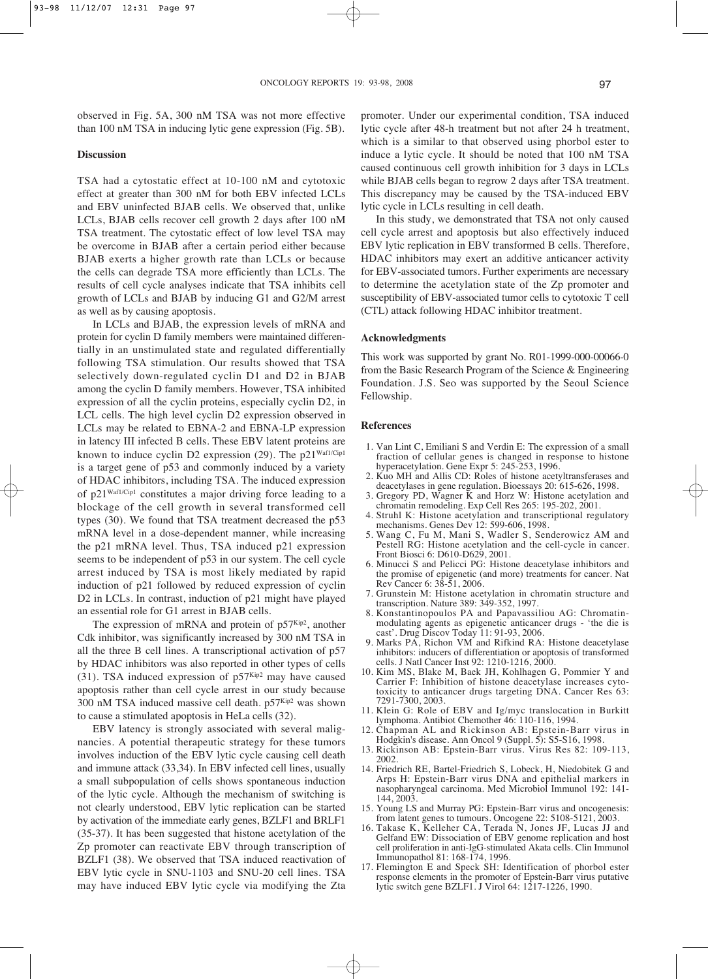observed in Fig. 5A, 300 nM TSA was not more effective than 100 nM TSA in inducing lytic gene expression (Fig. 5B).

#### **Discussion**

TSA had a cytostatic effect at 10-100 nM and cytotoxic effect at greater than 300 nM for both EBV infected LCLs and EBV uninfected BJAB cells. We observed that, unlike LCLs, BJAB cells recover cell growth 2 days after 100 nM TSA treatment. The cytostatic effect of low level TSA may be overcome in BJAB after a certain period either because BJAB exerts a higher growth rate than LCLs or because the cells can degrade TSA more efficiently than LCLs. The results of cell cycle analyses indicate that TSA inhibits cell growth of LCLs and BJAB by inducing G1 and G2/M arrest as well as by causing apoptosis.

In LCLs and BJAB, the expression levels of mRNA and protein for cyclin D family members were maintained differentially in an unstimulated state and regulated differentially following TSA stimulation. Our results showed that TSA selectively down-regulated cyclin D1 and D2 in BJAB among the cyclin D family members. However, TSA inhibited expression of all the cyclin proteins, especially cyclin D2, in LCL cells. The high level cyclin D2 expression observed in LCLs may be related to EBNA-2 and EBNA-LP expression in latency III infected B cells. These EBV latent proteins are known to induce cyclin D2 expression (29). The  $p21^{Waf1/Cip1}$ is a target gene of p53 and commonly induced by a variety of HDAC inhibitors, including TSA. The induced expression of p21Waf1/Cip1 constitutes a major driving force leading to a blockage of the cell growth in several transformed cell types (30). We found that TSA treatment decreased the p53 mRNA level in a dose-dependent manner, while increasing the p21 mRNA level. Thus, TSA induced p21 expression seems to be independent of p53 in our system. The cell cycle arrest induced by TSA is most likely mediated by rapid induction of p21 followed by reduced expression of cyclin D2 in LCLs. In contrast, induction of p21 might have played an essential role for G1 arrest in BJAB cells.

The expression of mRNA and protein of  $p57<sup>Kip2</sup>$ , another Cdk inhibitor, was significantly increased by 300 nM TSA in all the three B cell lines. A transcriptional activation of p57 by HDAC inhibitors was also reported in other types of cells (31). TSA induced expression of  $p57^{Kip2}$  may have caused apoptosis rather than cell cycle arrest in our study because 300 nM TSA induced massive cell death.  $p57<sup>Kip2</sup>$  was shown to cause a stimulated apoptosis in HeLa cells (32).

EBV latency is strongly associated with several malignancies. A potential therapeutic strategy for these tumors involves induction of the EBV lytic cycle causing cell death and immune attack (33,34). In EBV infected cell lines, usually a small subpopulation of cells shows spontaneous induction of the lytic cycle. Although the mechanism of switching is not clearly understood, EBV lytic replication can be started by activation of the immediate early genes, BZLF1 and BRLF1 (35-37). It has been suggested that histone acetylation of the Zp promoter can reactivate EBV through transcription of BZLF1 (38). We observed that TSA induced reactivation of EBV lytic cycle in SNU-1103 and SNU-20 cell lines. TSA may have induced EBV lytic cycle via modifying the Zta

promoter. Under our experimental condition, TSA induced lytic cycle after 48-h treatment but not after 24 h treatment, which is a similar to that observed using phorbol ester to induce a lytic cycle. It should be noted that 100 nM TSA caused continuous cell growth inhibition for 3 days in LCLs while BJAB cells began to regrow 2 days after TSA treatment. This discrepancy may be caused by the TSA-induced EBV lytic cycle in LCLs resulting in cell death.

In this study, we demonstrated that TSA not only caused cell cycle arrest and apoptosis but also effectively induced EBV lytic replication in EBV transformed B cells. Therefore, HDAC inhibitors may exert an additive anticancer activity for EBV-associated tumors. Further experiments are necessary to determine the acetylation state of the Zp promoter and susceptibility of EBV-associated tumor cells to cytotoxic T cell (CTL) attack following HDAC inhibitor treatment.

#### **Acknowledgments**

This work was supported by grant No. R01-1999-000-00066-0 from the Basic Research Program of the Science & Engineering Foundation. J.S. Seo was supported by the Seoul Science Fellowship.

#### **References**

- 1. Van Lint C, Emiliani S and Verdin E: The expression of a small fraction of cellular genes is changed in response to histone hyperacetylation. Gene Expr 5: 245-253, 1996.
- 2. Kuo MH and Allis CD: Roles of histone acetyltransferases and deacetylases in gene regulation. Bioessays 20: 615-626, 1998.
- 3. Gregory PD, Wagner K and Horz W: Histone acetylation and chromatin remodeling. Exp Cell Res 265: 195-202, 2001.
- 4. Struhl K: Histone acetylation and transcriptional regulatory mechanisms. Genes Dev 12: 599-606, 1998.
- 5. Wang C, Fu M, Mani S, Wadler S, Senderowicz AM and Pestell RG: Histone acetylation and the cell-cycle in cancer. Front Biosci 6: D610-D629, 2001.
- 6. Minucci S and Pelicci PG: Histone deacetylase inhibitors and the promise of epigenetic (and more) treatments for cancer. Nat Rev Cancer 6: 38-51, 2006.
- 7. Grunstein M: Histone acetylation in chromatin structure and transcription. Nature 389: 349-352, 1997.
- 8. Konstantinopoulos PA and Papavassiliou AG: Chromatinmodulating agents as epigenetic anticancer drugs - 'the die is cast'. Drug Discov Today 11: 91-93, 2006.
- 9. Marks PA, Richon VM and Rifkind RA: Histone deacetylase inhibitors: inducers of differentiation or apoptosis of transformed cells. J Natl Cancer Inst 92: 1210-1216, 2000.
- 10. Kim MS, Blake M, Baek JH, Kohlhagen G, Pommier Y and Carrier F: Inhibition of histone deacetylase increases cytotoxicity to anticancer drugs targeting DNA. Cancer Res 63: 7291-7300, 2003.
- 11. Klein G: Role of EBV and Ig/myc translocation in Burkitt lymphoma. Antibiot Chemother 46: 110-116, 1994.
- 12. Chapman AL and Rickinson AB: Epstein-Barr virus in Hodgkin's disease. Ann Oncol 9 (Suppl. 5): S5-S16, 1998.
- 13. Rickinson AB: Epstein-Barr virus. Virus Res 82: 109-113, 2002.
- 14. Friedrich RE, Bartel-Friedrich S, Lobeck, H, Niedobitek G and Arps H: Epstein-Barr virus DNA and epithelial markers in nasopharyngeal carcinoma. Med Microbiol Immunol 192: 141- 144, 2003.
- 15. Young LS and Murray PG: Epstein-Barr virus and oncogenesis: from latent genes to tumours. Oncogene 22: 5108-5121, 2003.
- 16. Takase K, Kelleher CA, Terada N, Jones JF, Lucas JJ and Gelfand EW: Dissociation of EBV genome replication and host cell proliferation in anti-IgG-stimulated Akata cells. Clin Immunol Immunopathol 81: 168-174, 1996.
- 17. Flemington E and Speck SH: Identification of phorbol ester response elements in the promoter of Epstein-Barr virus putative lytic switch gene BZLF1. J Virol 64: 1217-1226, 1990.